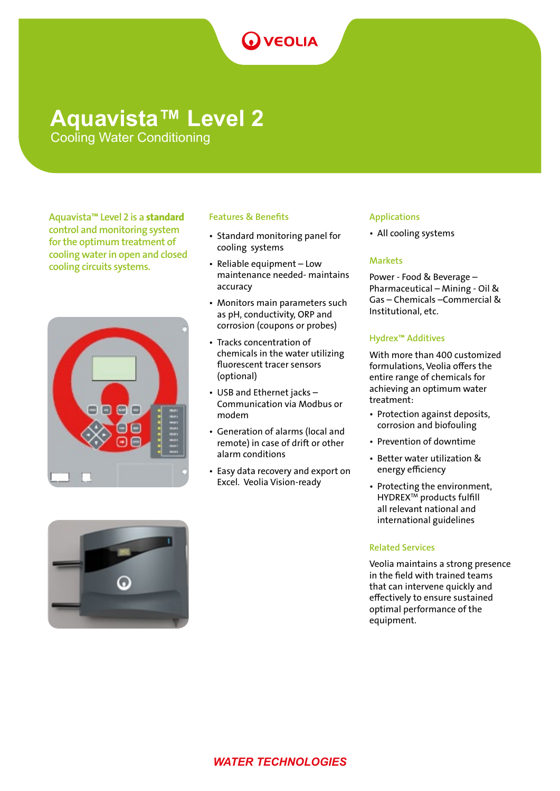# **O** VEOLIA

## **Aquavista™ Level 2**

Cooling Water Conditioning

Aquavista™ Level 2 is a standard control and monitoring system for the optimum treatment of cooling water in open and closed cooling circuits systems.



### Features & Benefits

- Standard monitoring panel for cooling systems
- Reliable equipment Low maintenance needed- maintains accuracy
- Monitors main parameters such as pH, conductivity, ORP and corrosion (coupons or probes)
- Tracks concentration of chemicals in the water utilizing fluorescent tracer sensors (optional)
- USB and Ethernet jacks Communication via Modbus or modem
- Generation of alarms (local and remote) in case of drift or other alarm conditions
- Easy data recovery and export on Excel. Veolia Vision-ready

### Applications

• All cooling systems

### **Markets**

Power - Food & Beverage – Pharmaceutical – Mining - Oil & Gas – Chemicals –Commercial & Institutional, etc.

### Hydrex™ Additives

With more than 400 customized formulations, Veolia offers the entire range of chemicals for achieving an optimum water treatment:

- Protection against deposits, corrosion and biofouling
- Prevention of downtime
- Better water utilization & energy efficiency
- Protecting the environment, HYDREXTM products fulfill all relevant national and international guidelines

### Related Services

Veolia maintains a strong presence in the field with trained teams that can intervene quickly and effectively to ensure sustained optimal performance of the equipment.